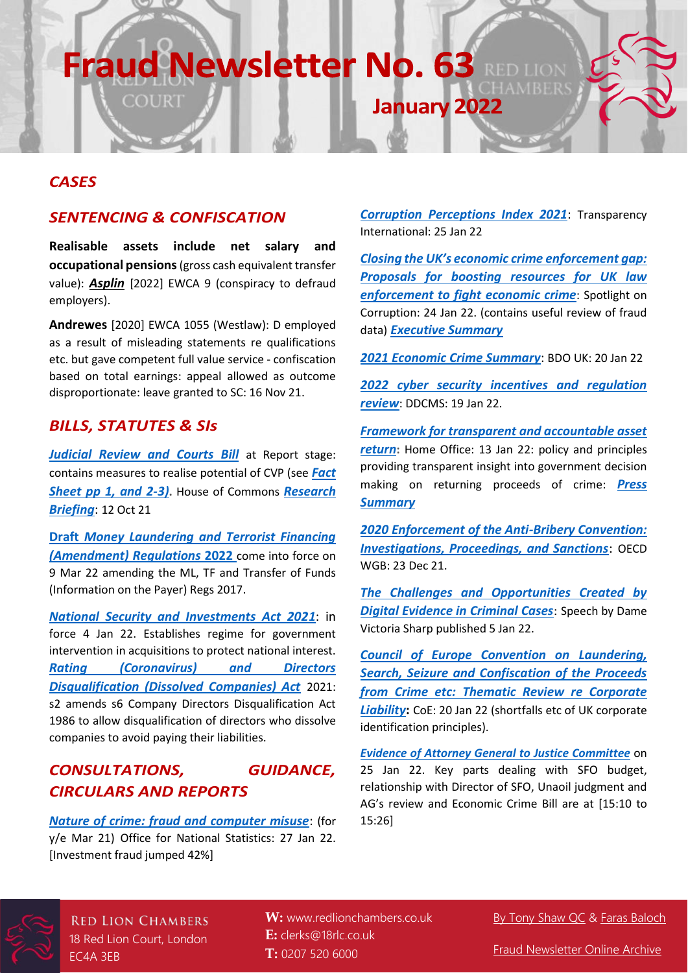## **Fraud Newsletter No. 63**

#### *CASES*

#### *SENTENCING & CONFISCATION*

COURT

**Realisable assets include net salary and occupational pensions**(gross cash equivalent transfer value): *[Asplin](Those%20payments%20are%20received%20into%20my%20current%20account.)* [2022] EWCA 9 (conspiracy to defraud employers).

**Andrewes** [2020] EWCA 1055 (Westlaw): D employed as a result of misleading statements re qualifications etc. but gave competent full value service - confiscation based on total earnings: appeal allowed as outcome disproportionate: leave granted to SC: 16 Nov 21.

#### *BILLS, STATUTES & SIs*

*[Judicial Review and Courts Bill](https://bills.parliament.uk/bills/3035)* at Report stage: contains measures to realise potential of CVP (see *[Fact](https://assets.publishing.service.gov.uk/government/uploads/system/uploads/attachment_data/file/1004585/jr-courts-bill-fact-sheet-courts-short-version.pdf)  [Sheet pp 1, and 2-3\)](https://assets.publishing.service.gov.uk/government/uploads/system/uploads/attachment_data/file/1004585/jr-courts-bill-fact-sheet-courts-short-version.pdf)***.** House of Commons *[Research](https://researchbriefings.files.parliament.uk/documents/CBP-9253/CBP-9253.pdf)  [Briefing](https://researchbriefings.files.parliament.uk/documents/CBP-9253/CBP-9253.pdf)*: 12 Oct 21

**Draft** *[Money Laundering and Terrorist Financing](https://www.legislation.gov.uk/ukdsi/2022/9780348230871/contents)  [\(Amendment\) Regulations](https://www.legislation.gov.uk/ukdsi/2022/9780348230871/contents)* **2022** come into force on 9 Mar 22 amending the ML, TF and Transfer of Funds (Information on the Payer) Regs 2017.

*[National Security and Investments Act 2021](https://www.legislation.gov.uk/ukpga/2021/25/contents/enacted)*: in force 4 Jan 22. Establishes regime for government intervention in acquisitions to protect national interest. *[Rating \(Coronavirus\) and Directors](https://www.legislation.gov.uk/ukpga/2021/34/introduction/enacted)  [Disqualification \(Dissolved Companies\) Act](https://www.legislation.gov.uk/ukpga/2021/34/introduction/enacted)* 2021: s2 amends s6 Company Directors Disqualification Act 1986 to allow disqualification of directors who dissolve companies to avoid paying their liabilities.

#### *CONSULTATIONS, GUIDANCE, CIRCULARS AND REPORTS*

*[Nature of crime: fraud and computer misuse](https://www.ons.gov.uk/peoplepopulationandcommunity/crimeandjustice/datasets/natureofcrimefraudandcomputermisuse)*: (for y/e Mar 21) Office for National Statistics: 27 Jan 22. [Investment fraud jumped 42%]

*[Corruption Perceptions Index 2021](https://www.transparency.org/en/cpi/2021)*: Transparency International: 25 Jan 22

**January 2022** 

*[Closing the UK's economic cri](https://drive.google.com/file/d/1wTR2zvs1sfq3BqidmAiBTdc6qj-Umyf4/view?usp=sharing)me enforcement gap: [Proposals for boosting resources for UK law](https://drive.google.com/file/d/1wTR2zvs1sfq3BqidmAiBTdc6qj-Umyf4/view?usp=sharing)  [enforcement to fight economic crime](https://drive.google.com/file/d/1wTR2zvs1sfq3BqidmAiBTdc6qj-Umyf4/view?usp=sharing)*: Spotlight on Corruption: 24 Jan 22. (contains useful review of fraud data) *[Executive Summary](https://drive.google.com/file/d/1TJbpKz5dphr3dhWwMJrOQRb2fm4d0CoP/view?usp=sharing)*

*[2021 Economic Crime Summary](https://www.bdo.co.uk/en-gb/insights/industries/financial-services/2021-economic-crime-summary)*: BDO UK: 20 Jan 22

*[2022 cyber security incentives and regulation](https://www.gov.uk/government/publications/2022-cyber-security-incentives-and-regulation-review/2022-cyber-security-incentives-and-regulation-review)  [review](https://www.gov.uk/government/publications/2022-cyber-security-incentives-and-regulation-review/2022-cyber-security-incentives-and-regulation-review)*: DDCMS: 19 Jan 22.

*[Framework for transparent and accountable asset](https://www.gov.uk/government/publications/framework-for-transparent-and-accountable-asset-return/framework-for-transparent-and-accountable-asset-return)  [return](https://www.gov.uk/government/publications/framework-for-transparent-and-accountable-asset-return/framework-for-transparent-and-accountable-asset-return)***:** Home Office: 13 Jan 22: policy and principles providing transparent insight into government decision making on returning proceeds of crime: *[Press](https://www.gov.uk/government/news/uk-sets-global-transparency-standard-for-asset-returns)  [Summary](https://www.gov.uk/government/news/uk-sets-global-transparency-standard-for-asset-returns)*

*[2020 Enforcement of the Anti-Bribery Convention:](https://www.oecd.org/daf/anti-bribery/OECD-Anti-Bribery-Convention-Enforcement-Data-2021.pdf)  [Investigations, Proceedings, and Sanctions](https://www.oecd.org/daf/anti-bribery/OECD-Anti-Bribery-Convention-Enforcement-Data-2021.pdf)*: OECD WGB: 23 Dec 21.

*[The Challenges and Opportunities Created by](https://www.judiciary.uk/wp-content/uploads/2022/01/PQBD-Speech-National-Criminal-Justice-Conference.pdf)  [Digital Evidence in Criminal Cases](https://www.judiciary.uk/wp-content/uploads/2022/01/PQBD-Speech-National-Criminal-Justice-Conference.pdf)*: Speech by Dame Victoria Sharp published 5 Jan 22.

*[Council of Europe Convention on Laundering,](https://rm.coe.int/c198-cop-2021-6prov-hr-art10-final/1680a53db0)  [Search, Seizure and Confiscation of the Proceeds](https://rm.coe.int/c198-cop-2021-6prov-hr-art10-final/1680a53db0)  [from Crime etc: Thematic Review re Corporate](https://rm.coe.int/c198-cop-2021-6prov-hr-art10-final/1680a53db0)  [Liability](https://rm.coe.int/c198-cop-2021-6prov-hr-art10-final/1680a53db0)***:** CoE: 20 Jan 22 (shortfalls etc of UK corporate identification principles).

*Evidence of [Attorney General to Justice Committee](https://parliamentlive.tv/Event/Index/5f2a138a-148e-4121-a48e-e80bada6eb4f)* on 25 Jan 22. Key parts dealing with SFO budget, relationship with Director of SFO, Unaoil judgment and AG's review and Economic Crime Bill are at [15:10 to 15:26]



**RED LION CHAMBERS** 18 Red Lion Court, London EC4A 3EB

**W:** [www.redlionchambers.co.uk](http://www.redlionchambers.co.uk/) **E:** [clerks@18rlc.co.uk](mailto:chambers@18rlc.co.uk) **T:** 0207 520 6000

[By Tony Shaw QC](https://redlionchambers.co.uk/barrister/antony-shaw-qc/) & [Faras Baloch](https://redlionchambers.co.uk/barrister/faras-baloch/)

[Fraud Newsletter Online Archive](https://redlionchambers.co.uk/fraud-newsletters)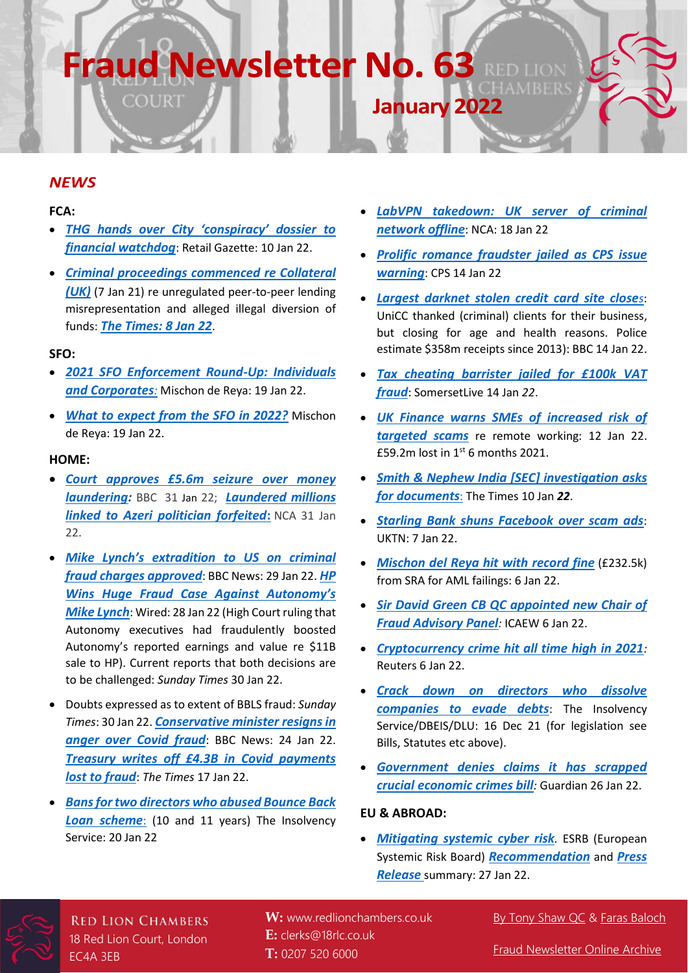# **Fraud Newsletter No. 63**

#### *NEWS*

#### **FCA:**

• *THG [hands over City 'conspiracy' dossier to](https://www.retailgazette.co.uk/blog/2022/01/thg-hands-over-city-conspiracy-dossier-to-financial-watchdog/)  [financial watchdog](https://www.retailgazette.co.uk/blog/2022/01/thg-hands-over-city-conspiracy-dossier-to-financial-watchdog/)*: Retail Gazette: 10 Jan 22.

**COURT** 

• *[Criminal proceedings commenced re Collateral](https://www.fca.org.uk/news/press-releases/criminal-proceedings-collateral-uk-ltd)  [\(UK\)](https://www.fca.org.uk/news/press-releases/criminal-proceedings-collateral-uk-ltd)* (7 Jan 21) re unregulated peer-to-peer lending misrepresentation and alleged illegal diversion of funds: *[The Times: 8 Jan 22](https://www.thetimes.co.uk/article/peer-to-peer-lender-s-bosses-charged-with-fraud-373s0s5d3)*.

#### **SFO:**

- *[2021 SFO Enforcement Round-Up: Individuals](https://www.mishcon.com/news/white-collar-crime-and-investigations-2021-sfo-enforcement-round-up-individuals-and-corporates?publication=true)  [and Corporates](https://www.mishcon.com/news/white-collar-crime-and-investigations-2021-sfo-enforcement-round-up-individuals-and-corporates?publication=true):* Mischon de Reya: 19 Jan 22.
- *[What to expect from the SFO in 2022?](https://www.mishcon.com/news/white-collar-crime-and-investigations-what-to-expect-from-the-sfo-in-2022)* Mischon de Reya: 19 Jan 22.

#### **HOME:**

- *[Court approves £5.6m seizure over money](https://www.bbc.co.uk/news/uk-60203664)  [laundering:](https://www.bbc.co.uk/news/uk-60203664)* BBC 31 Jan 22; *[Laundered millions](https://www.nationalcrimeagency.gov.uk/news/laundered-millions-linked-to-azeri-politician-forfeited)  [linked to Azeri politician forfeited](https://www.nationalcrimeagency.gov.uk/news/laundered-millions-linked-to-azeri-politician-forfeited)***:** NCA 31 Jan 22.
- *Mike Lyn[ch's extradition to US on](https://www.bbc.co.uk/news/business-60178089) criminal [fraud charges approved](https://www.bbc.co.uk/news/business-60178089)*: BBC News: 29 Jan 22. *[HP](https://www.wired.com/story/mike-lynch-autonomy-extradition/)  [Wins Huge Fraud Case Against Autonomy's](https://www.wired.com/story/mike-lynch-autonomy-extradition/)  [Mike Lynch](https://www.wired.com/story/mike-lynch-autonomy-extradition/)*: Wired: 28 Jan 22 (High Court ruling that Autonomy executives had fraudulently boosted Autonomy's reported earnings and value re \$11B sale to HP). Current reports that both decisions are to be challenged: *Sunday Times* 30 Jan 22.
- Doubts expressed as to extent of BBLS fraud: *Sunday Times*: 30 Jan 22. *[Conservative minister resigns in](https://www.bbc.co.uk/news/uk-politics-60117513)  [anger over Covid fraud](https://www.bbc.co.uk/news/uk-politics-60117513)*: BBC News: 24 Jan 22. *[Treasury writes off £4.3B in Covid payments](https://www.thetimes.co.uk/article/treasury-writes-off-4-3bn-in-covid-payments-lost-to-fraud-dfkxt5fr7)  [lost to fraud](https://www.thetimes.co.uk/article/treasury-writes-off-4-3bn-in-covid-payments-lost-to-fraud-dfkxt5fr7)*: *The Times* 17 Jan 22.
- *[Bans for two directors who abused Bounce Back](https://www.gov.uk/government/news/bans-for-two-directors-who-abused-bounce-back-loan-scheme)  [Loan scheme](https://www.gov.uk/government/news/bans-for-two-directors-who-abused-bounce-back-loan-scheme)*: (10 and 11 years) The Insolvency Service: 20 Jan 22

• *[LabVPN takedown: UK server of criminal](https://www.nationalcrimeagency.gov.uk/news/labvpn-takedown-nca-takes-uk-server-of-criminal-network-offline)  [network offline](https://www.nationalcrimeagency.gov.uk/news/labvpn-takedown-nca-takes-uk-server-of-criminal-network-offline)*: NCA: 18 Jan 22

**January 2022** 

- *[Prolific romance fraudster jailed as CPS issue](https://www.cps.gov.uk/cps/news/prolific-romance-fraudster-jailed-cps-issues-warning)  [warning](https://www.cps.gov.uk/cps/news/prolific-romance-fraudster-jailed-cps-issues-warning)*: CPS 14 Jan 22
- *[Largest darknet stolen credit card site close](https://www.bbc.co.uk/news/technology-59983950)[s](https://www.bbc.co.uk/news/technology-59983950)*: UniCC thanked (criminal) clients for their business, but closing for age and health reasons. Police estimate \$358m receipts since 2013): BBC 14 Jan 22.
- *[Tax cheating barrister jailed for £100k VAT](https://www.somersetlive.co.uk/news/somerset-news/tax-cheating-barrister-jailed-100000-6481573) [fraud](https://www.somersetlive.co.uk/news/somerset-news/tax-cheating-barrister-jailed-100000-6481573)*: SomersetLive 14 Jan *22*.
- *[UK Finance warns SMEs of increased risk of](https://www.ukfinance.org.uk/press/press-releases/uk-finance-warns-smes-increased-risk-targeted-scams)  [targeted scams](https://www.ukfinance.org.uk/press/press-releases/uk-finance-warns-smes-increased-risk-targeted-scams)* re remote working: 12 Jan 22. £59.2m lost in  $1<sup>st</sup>$  6 months 2021.
- *[Smith & Nephew India \[SEC\] investigation asks](https://www.thetimes.co.uk/article/smith-nephew-corruption-inquiry-asked-for-documents-f3f6d8qrw)  [for documents](https://www.thetimes.co.uk/article/smith-nephew-corruption-inquiry-asked-for-documents-f3f6d8qrw)*: The Times 10 Jan *22*.
- *[Starling Bank shuns Facebook over scam ads](https://www.uktech.news/fintech/starling-facebook-scam-ads-20220107)*: UKTN: 7 Jan 22.
- *[Mischon del Reya hit with record fine](https://www.bloomberg.com/news/articles/2022-01-06/mishcon-de-reya-hit-with-record-fine-as-law-firm-pursues-ipo)* (£232.5k) from SRA for AML failings: 6 Jan 22.
- *[Sir David Green CB QC appointed new Chair of](https://www.icaew.com/insights/viewpoints-on-the-news/2022/jan-2022/new-chair-of-fraud-advisory-panel-announced)  [Fraud Advisory Panel](https://www.icaew.com/insights/viewpoints-on-the-news/2022/jan-2022/new-chair-of-fraud-advisory-panel-announced):* ICAEW 6 Jan 22.
- *[Cryptocurrency crime hit all time high in 2021](https://www.reuters.com/markets/us/cryptocurrency-crime-2021-hits-all-time-high-value-chainalysis-2022-01-06/):* Reuters 6 Jan 22.
- *[Crack down on directors who dissolve](https://www.gov.uk/government/news/crackdown-on-directors-who-dissolve-companies-to-evade-debts)  [companies to evade debts](https://www.gov.uk/government/news/crackdown-on-directors-who-dissolve-companies-to-evade-debts)*: The Insolvency Service/DBEIS/DLU: 16 Dec 21 (for legislation see Bills, Statutes etc above).
- *[Government denies claims it has scrapped](https://www.theguardian.com/business/2022/jan/26/ministers-criticised-for-not-tackling-londons-reputation-as-money-laundering-hub)  [crucial economic crimes bill](https://www.theguardian.com/business/2022/jan/26/ministers-criticised-for-not-tackling-londons-reputation-as-money-laundering-hub):* Guardian 26 Jan 22.

#### **EU & ABROAD:**

• *[Mitigating systemic cyber risk](https://www.esrb.europa.eu/pub/pdf/reports/esrb.SystemiCyberRisk.220127~b6655fa027.en.pdf).* ESRB (European Systemic Risk Board) *[Recommendation](https://www.esrb.europa.eu/pub/pdf/recommendations/esrb.recommendation220127_on_cyber_incident_coordination~0ebcbf5f69.en.pdf?f2ec57c21993067e9ac1d73ce93a0772)* and *[Press](https://www.esrb.europa.eu/news/pr/date/2022/html/esrb.pr.220127~f1548f677e.en.html)  [Release](https://www.esrb.europa.eu/news/pr/date/2022/html/esrb.pr.220127~f1548f677e.en.html)* summary: 27 Jan 22.



**RED LION CHAMBERS** 18 Red Lion Court, London EC4A 3EB

**W:** [www.redlionchambers.co.uk](http://www.redlionchambers.co.uk/) **E:** [clerks@18rlc.co.uk](mailto:chambers@18rlc.co.uk) **T:** 0207 520 6000

#### [By Tony Shaw QC](https://redlionchambers.co.uk/barrister/antony-shaw-qc/) & [Faras Baloch](https://redlionchambers.co.uk/barrister/faras-baloch/)

[Fraud Newsletter Online Archive](https://redlionchambers.co.uk/fraud-newsletters)